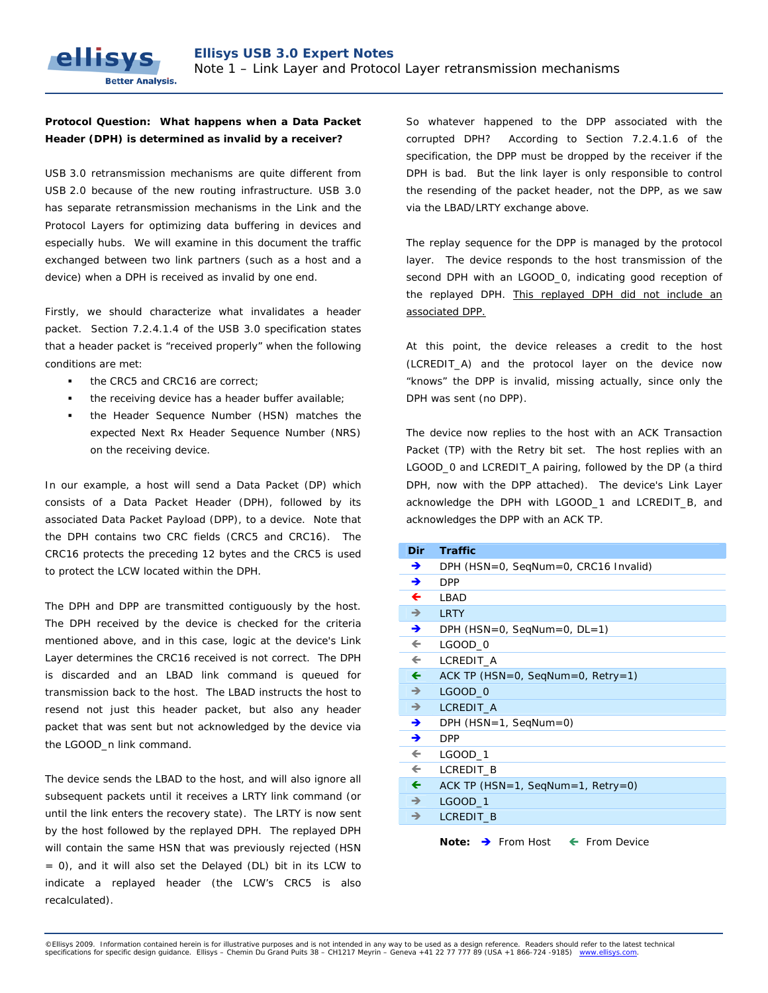## **Protocol Question: What happens when a Data Packet Header (DPH) is determined as invalid by a receiver?**

ellis

**Better Analysis.** 

USB 3.0 retransmission mechanisms are quite different from USB 2.0 because of the new routing infrastructure. USB 3.0 has separate retransmission mechanisms in the Link and the Protocol Layers for optimizing data buffering in devices and especially hubs. We will examine in this document the traffic exchanged between two link partners (such as a host and a device) when a DPH is received as invalid by one end.

Firstly, we should characterize what invalidates a header packet. Section 7.2.4.1.4 of the USB 3.0 specification states that a header packet is "received properly" when the following conditions are met:

- the CRC5 and CRC16 are correct;
- the receiving device has a header buffer available;
- the Header Sequence Number (HSN) matches the expected Next Rx Header Sequence Number (NRS) on the receiving device.

In our example, a host will send a Data Packet (DP) which consists of a Data Packet Header (DPH), followed by its associated Data Packet Payload (DPP), to a device. Note that the DPH contains two CRC fields (CRC5 and CRC16). The CRC16 protects the preceding 12 bytes and the CRC5 is used to protect the LCW located within the DPH.

The DPH and DPP are transmitted contiguously by the host. The DPH received by the device is checked for the criteria mentioned above, and in this case, logic at the device's Link Layer determines the CRC16 received is not correct. The DPH is discarded and an LBAD link command is queued for transmission back to the host. The LBAD instructs the host to resend not just this header packet, but also any header packet that was sent but not acknowledged by the device via the LGOOD\_n link command.

The device sends the LBAD to the host, and will also ignore all subsequent packets until it receives a LRTY link command (or until the link enters the recovery state). The LRTY is now sent by the host followed by the replayed DPH. The replayed DPH will contain the same HSN that was previously rejected (HSN = 0), and it will also set the Delayed (DL) bit in its LCW to indicate a replayed header (the LCW's CRC5 is also recalculated).

So whatever happened to the DPP associated with the corrupted DPH? According to Section 7.2.4.1.6 of the specification, the DPP must be dropped by the receiver if the DPH is bad. But the link layer is only responsible to control the resending of the packet header, not the DPP, as we saw via the LBAD/LRTY exchange above.

The replay sequence for the DPP is managed by the protocol layer. The device responds to the host transmission of the second DPH with an LGOOD\_0, indicating good reception of the replayed DPH. This replayed DPH did not include an associated DPP.

At this point, the device releases a credit to the host (LCREDIT\_A) and the protocol layer on the device now "knows" the DPP is invalid, missing actually, since only the DPH was sent (no DPP).

The device now replies to the host with an ACK Transaction Packet (TP) with the Retry bit set. The host replies with an LGOOD\_0 and LCREDIT\_A pairing, followed by the DP (a third DPH, now with the DPP attached). The device's Link Layer acknowledge the DPH with LGOOD\_1 and LCREDIT\_B, and acknowledges the DPP with an ACK TP.

| <b>Dir</b>    | <b>Traffic</b>                                            |  |  |  |  |
|---------------|-----------------------------------------------------------|--|--|--|--|
| →             | DPH (HSN=0, SegNum=0, CRC16 Invalid)                      |  |  |  |  |
| →             | <b>DPP</b>                                                |  |  |  |  |
| ←             | LBAD                                                      |  |  |  |  |
| $\rightarrow$ | <b>LRTY</b>                                               |  |  |  |  |
| →             | $DPH$ (HSN=0, SeqNum=0, DL=1)                             |  |  |  |  |
| $\leftarrow$  | LGOOD 0                                                   |  |  |  |  |
| $\leftarrow$  | LCREDIT_A                                                 |  |  |  |  |
| $\leftarrow$  | ACK TP (HSN=0, SeqNum=0, Retry=1)                         |  |  |  |  |
| $\rightarrow$ | <b>LGOOD_0</b>                                            |  |  |  |  |
| $\rightarrow$ | LCREDIT A                                                 |  |  |  |  |
| →             | $DPH$ (HSN=1, SeqNum=0)                                   |  |  |  |  |
| →             | <b>DPP</b>                                                |  |  |  |  |
| $\leftarrow$  | <b>LGOOD 1</b>                                            |  |  |  |  |
| $\leftarrow$  | LCREDIT B                                                 |  |  |  |  |
| $\leftarrow$  | ACK TP ( $HSN=1$ , SeqNum=1, Retry=0)                     |  |  |  |  |
| $\rightarrow$ | <b>LGOOD 1</b>                                            |  |  |  |  |
| →             | <b>LCREDIT B</b>                                          |  |  |  |  |
|               | Note: $\rightarrow$ From Host<br>$\leftarrow$ From Device |  |  |  |  |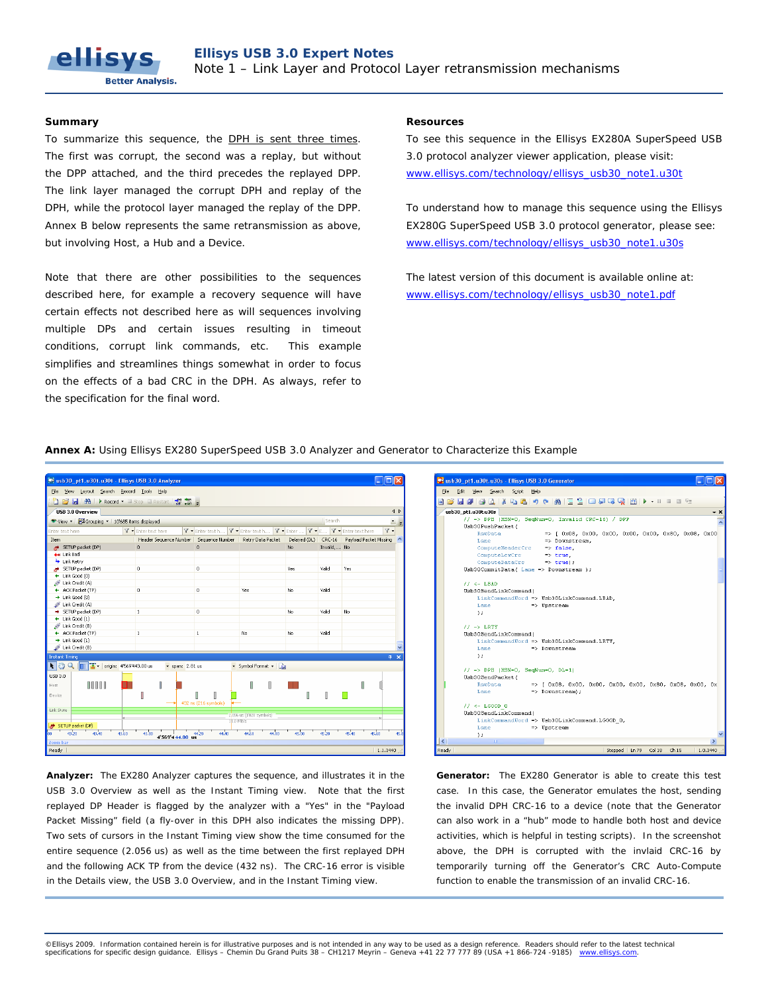To summarize this sequence, the DPH is sent three times. The first was corrupt, the second was a replay, but without the DPP attached, and the third precedes the replayed DPP. The link layer managed the corrupt DPH and replay of the DPH, while the protocol layer managed the replay of the DPP. Annex B below represents the same retransmission as above, but involving Host, a Hub and a Device.

Note that there are other possibilities to the sequences described here, for example a recovery sequence will have certain effects not described here as will sequences involving multiple DPs and certain issues resulting in timeout conditions, corrupt link commands, etc. This example simplifies and streamlines things somewhat in order to focus on the effects of a bad CRC in the DPH. As always, refer to the specification for the final word.

## **Summary Resources Resources Resources**

To see this sequence in the Ellisys EX280A SuperSpeed USB 3.0 protocol analyzer viewer application, please visit: [www.ellisys.com/technology/ellisys\\_usb30\\_note1.u30t](http://www.ellisys.com/technology/ellisys_usb30_note1.u30t)

To understand how to manage this sequence using the Ellisys EX280G SuperSpeed USB 3.0 protocol generator, please see: [www.ellisys.com/technology/ellisys\\_usb30\\_note1.u30s](http://www.ellisys.com/technology/ellisys_usb30_note1.u30s)

The latest version of this document is available online at: [www.ellisys.com/technology/ellisys\\_usb30\\_note1.pdf](http://www.ellisys.com/technology/ellisys_usb30_note1.pdf) 





**Analyzer:** The EX280 Analyzer captures the sequence, and illustrates it in the USB 3.0 Overview as well as the Instant Timing view. Note that the first replayed DP Header is flagged by the analyzer with a "Yes" in the "Payload Packet Missing" field (a fly-over in this DPH also indicates the missing DPP). Two sets of cursors in the Instant Timing view show the time consumed for the entire sequence (2.056 us) as well as the time between the first replayed DPH and the following ACK TP from the device (432 ns). The CRC-16 error is visible in the Details view, the USB 3.0 Overview, and in the Instant Timing view.



**Generator:** The EX280 Generator is able to create this test case. In this case, the Generator emulates the host, sending the invalid DPH CRC-16 to a device (note that the Generator can also work in a "hub" mode to handle both host and device activities, which is helpful in testing scripts). In the screenshot above, the DPH is corrupted with the invlaid CRC-16 by temporarily turning off the Generator's CRC Auto-Compute function to enable the transmission of an invalid CRC-16.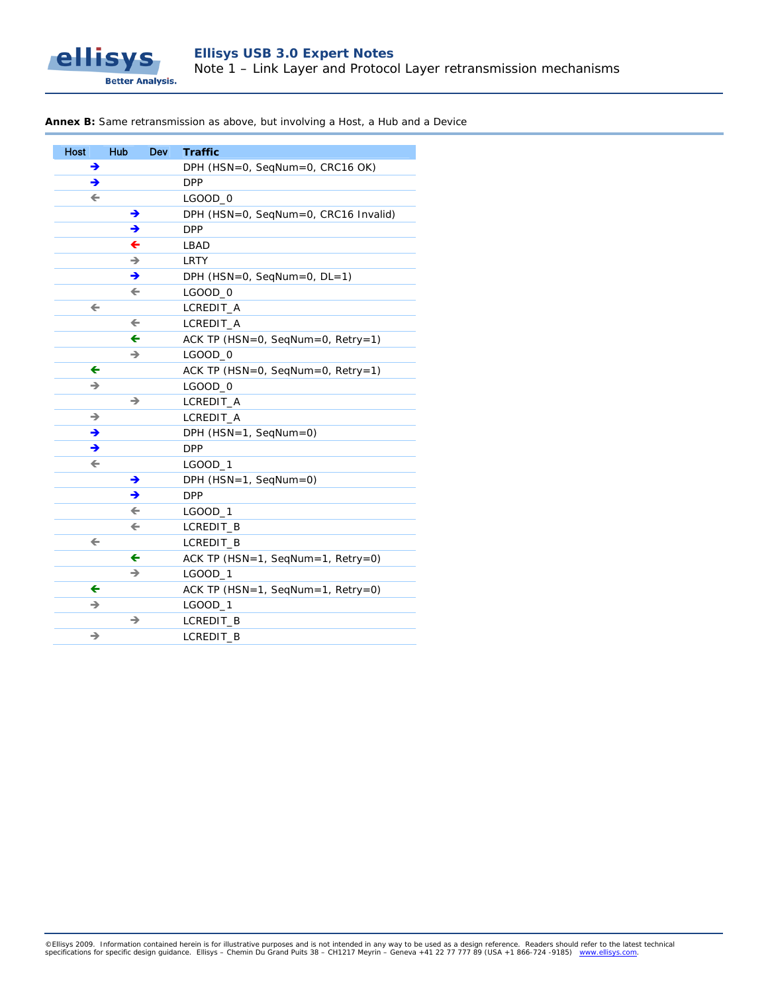

## **Annex B:** Same retransmission as above, but involving a Host, a Hub and a Device

| Host         | <b>Hub</b>   | <b>Dev</b> | <b>Traffic</b>                       |
|--------------|--------------|------------|--------------------------------------|
| →            |              |            | DPH (HSN=0, SegNum=0, CRC16 OK)      |
| →            |              |            | <b>DPP</b>                           |
| $\leftarrow$ |              |            | LGOOD_0                              |
|              | →            |            | DPH (HSN=0, SeqNum=0, CRC16 Invalid) |
|              | →            |            | <b>DPP</b>                           |
|              | ←            |            | LBAD                                 |
|              | →            |            | <b>LRTY</b>                          |
|              | →            |            | DPH (HSN=0, SeqNum=0, DL=1)          |
|              | $\leftarrow$ |            | LGOOD_0                              |
| $\leftarrow$ |              |            | LCREDIT_A                            |
|              | $\leftarrow$ |            | LCREDIT_A                            |
|              | ←            |            | ACK TP (HSN=0, SeqNum=0, Retry=1)    |
|              | →            |            | LGOOD_0                              |
| ←            |              |            | ACK TP (HSN=0, SeqNum=0, Retry=1)    |
| →            |              |            | LGOOD_0                              |
|              | →            |            | LCREDIT_A                            |
| →            |              |            | LCREDIT_A                            |
| →            |              |            | DPH $(HSN=1, SeqNum=0)$              |
| →            |              |            | <b>DPP</b>                           |
| $\leftarrow$ |              |            | LGOOD_1                              |
|              | →            |            | DPH $(HSN=1, SeqNum=0)$              |
|              | →            |            | <b>DPP</b>                           |
|              | $\leftarrow$ |            | LGOOD_1                              |
|              | $\leftarrow$ |            | LCREDIT_B                            |
| $\leftarrow$ |              |            | LCREDIT_B                            |
|              | ←            |            | ACK TP (HSN=1, SeqNum=1, Retry=0)    |
|              | →            |            | LGOOD_1                              |
| $\leftarrow$ |              |            | ACK TP (HSN=1, SeqNum=1, Retry=0)    |
| →            |              |            | LGOOD_1                              |
|              | →            |            | LCREDIT_B                            |
| →            |              |            | LCREDIT_B                            |